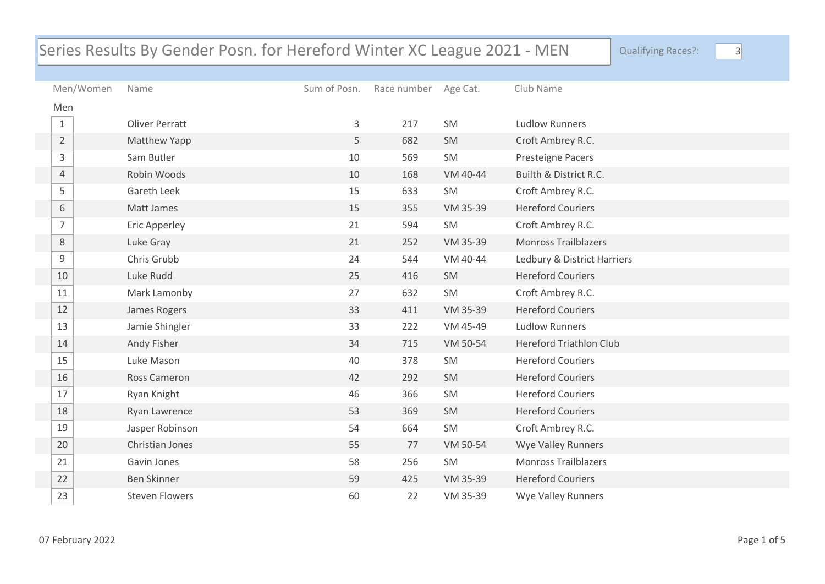## Series Results By Gender Posn. for Hereford Winter XC League 2021 - MEN Qualifying Races?: 3

| Men/Women      | Name                  | Sum of Posn. | Race number Age Cat. |          | Club Name                      |
|----------------|-----------------------|--------------|----------------------|----------|--------------------------------|
| Men            |                       |              |                      |          |                                |
| $\mathbf{1}$   | <b>Oliver Perratt</b> | 3            | 217                  | SM       | <b>Ludlow Runners</b>          |
| $\overline{2}$ | <b>Matthew Yapp</b>   | 5            | 682                  | SM       | Croft Ambrey R.C.              |
| $\mathsf{3}$   | Sam Butler            | 10           | 569                  | SM       | Presteigne Pacers              |
| $\overline{4}$ | Robin Woods           | 10           | 168                  | VM 40-44 | Builth & District R.C.         |
| 5              | Gareth Leek           | 15           | 633                  | SM       | Croft Ambrey R.C.              |
| 6              | Matt James            | 15           | 355                  | VM 35-39 | <b>Hereford Couriers</b>       |
| $\overline{7}$ | Eric Apperley         | 21           | 594                  | SM       | Croft Ambrey R.C.              |
| 8              | Luke Gray             | 21           | 252                  | VM 35-39 | <b>Monross Trailblazers</b>    |
| 9              | Chris Grubb           | 24           | 544                  | VM 40-44 | Ledbury & District Harriers    |
| 10             | Luke Rudd             | 25           | 416                  | SM       | <b>Hereford Couriers</b>       |
| 11             | Mark Lamonby          | 27           | 632                  | SM       | Croft Ambrey R.C.              |
| 12             | James Rogers          | 33           | 411                  | VM 35-39 | <b>Hereford Couriers</b>       |
| 13             | Jamie Shingler        | 33           | 222                  | VM 45-49 | <b>Ludlow Runners</b>          |
| 14             | Andy Fisher           | 34           | 715                  | VM 50-54 | <b>Hereford Triathlon Club</b> |
| 15             | Luke Mason            | 40           | 378                  | SM       | <b>Hereford Couriers</b>       |
| 16             | <b>Ross Cameron</b>   | 42           | 292                  | SM       | <b>Hereford Couriers</b>       |
| 17             | Ryan Knight           | 46           | 366                  | SM       | <b>Hereford Couriers</b>       |
| 18             | Ryan Lawrence         | 53           | 369                  | SM       | <b>Hereford Couriers</b>       |
| 19             | Jasper Robinson       | 54           | 664                  | SM       | Croft Ambrey R.C.              |
| 20             | Christian Jones       | 55           | 77                   | VM 50-54 | Wye Valley Runners             |
| 21             | Gavin Jones           | 58           | 256                  | SM       | <b>Monross Trailblazers</b>    |
| 22             | <b>Ben Skinner</b>    | 59           | 425                  | VM 35-39 | <b>Hereford Couriers</b>       |
| 23             | <b>Steven Flowers</b> | 60           | 22                   | VM 35-39 | <b>Wye Valley Runners</b>      |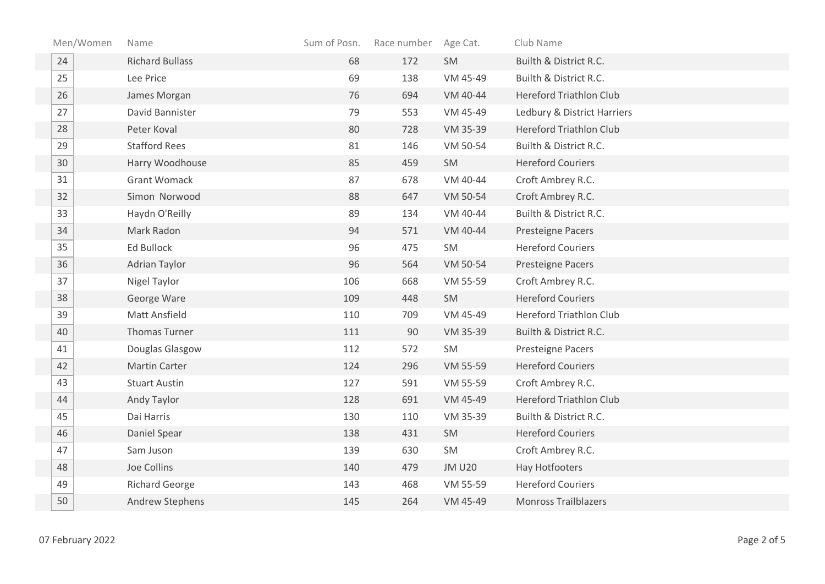| Men/Women | Name                   | Sum of Posn. | Race number | Age Cat.      | Club Name                      |
|-----------|------------------------|--------------|-------------|---------------|--------------------------------|
| 24        | <b>Richard Bullass</b> | 68           | 172         | SM            | Builth & District R.C.         |
| 25        | Lee Price              | 69           | 138         | VM 45-49      | Builth & District R.C.         |
| 26        | James Morgan           | 76           | 694         | VM 40-44      | <b>Hereford Triathlon Club</b> |
| 27        | David Bannister        | 79           | 553         | VM 45-49      | Ledbury & District Harriers    |
| 28        | Peter Koval            | 80           | 728         | VM 35-39      | <b>Hereford Triathlon Club</b> |
| 29        | <b>Stafford Rees</b>   | 81           | 146         | VM 50-54      | Builth & District R.C.         |
| 30        | Harry Woodhouse        | 85           | 459         | SM            | <b>Hereford Couriers</b>       |
| 31        | <b>Grant Womack</b>    | 87           | 678         | VM 40-44      | Croft Ambrey R.C.              |
| 32        | Simon Norwood          | 88           | 647         | VM 50-54      | Croft Ambrey R.C.              |
| 33        | Haydn O'Reilly         | 89           | 134         | VM 40-44      | Builth & District R.C.         |
| 34        | Mark Radon             | 94           | 571         | VM 40-44      | Presteigne Pacers              |
| 35        | Ed Bullock             | 96           | 475         | SM            | <b>Hereford Couriers</b>       |
| 36        | Adrian Taylor          | 96           | 564         | VM 50-54      | Presteigne Pacers              |
| 37        | Nigel Taylor           | 106          | 668         | VM 55-59      | Croft Ambrey R.C.              |
| 38        | George Ware            | 109          | 448         | SM            | <b>Hereford Couriers</b>       |
| 39        | <b>Matt Ansfield</b>   | 110          | 709         | VM 45-49      | <b>Hereford Triathlon Club</b> |
| 40        | <b>Thomas Turner</b>   | 111          | 90          | VM 35-39      | Builth & District R.C.         |
| 41        | Douglas Glasgow        | 112          | 572         | SM            | Presteigne Pacers              |
| 42        | <b>Martin Carter</b>   | 124          | 296         | VM 55-59      | <b>Hereford Couriers</b>       |
| 43        | <b>Stuart Austin</b>   | 127          | 591         | VM 55-59      | Croft Ambrey R.C.              |
| 44        | Andy Taylor            | 128          | 691         | VM 45-49      | <b>Hereford Triathlon Club</b> |
| 45        | Dai Harris             | 130          | 110         | VM 35-39      | Builth & District R.C.         |
| 46        | Daniel Spear           | 138          | 431         | SM            | <b>Hereford Couriers</b>       |
| 47        | Sam Juson              | 139          | 630         | SM            | Croft Ambrey R.C.              |
| 48        | Joe Collins            | 140          | 479         | <b>JM U20</b> | Hay Hotfooters                 |
| 49        | <b>Richard George</b>  | 143          | 468         | VM 55-59      | <b>Hereford Couriers</b>       |
| 50        | <b>Andrew Stephens</b> | 145          | 264         | VM 45-49      | <b>Monross Trailblazers</b>    |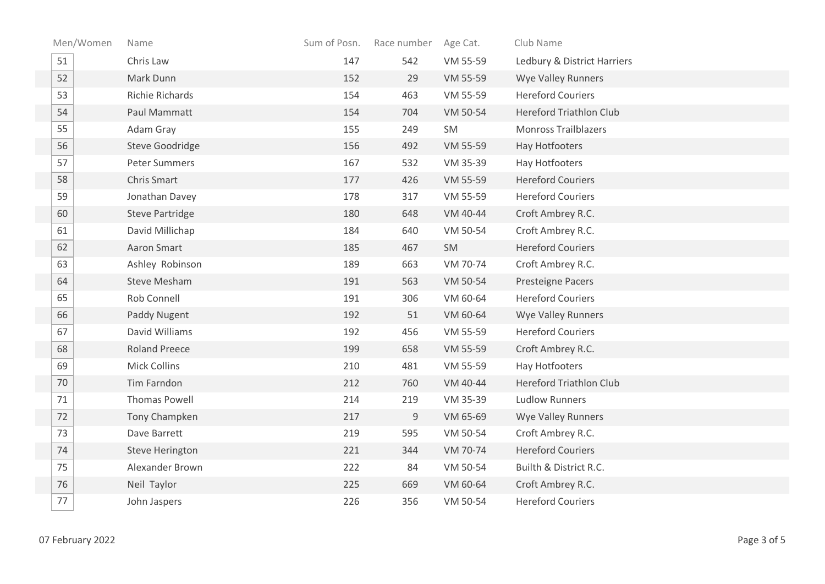| Men/Women | Name                   | Sum of Posn. | Race number | Age Cat. | Club Name                      |
|-----------|------------------------|--------------|-------------|----------|--------------------------------|
| 51        | Chris Law              | 147          | 542         | VM 55-59 | Ledbury & District Harriers    |
| 52        | Mark Dunn              | 152          | 29          | VM 55-59 | Wye Valley Runners             |
| 53        | Richie Richards        | 154          | 463         | VM 55-59 | <b>Hereford Couriers</b>       |
| 54        | Paul Mammatt           | 154          | 704         | VM 50-54 | <b>Hereford Triathlon Club</b> |
| 55        | Adam Gray              | 155          | 249         | SM       | <b>Monross Trailblazers</b>    |
| 56        | <b>Steve Goodridge</b> | 156          | 492         | VM 55-59 | Hay Hotfooters                 |
| 57        | <b>Peter Summers</b>   | 167          | 532         | VM 35-39 | Hay Hotfooters                 |
| 58        | Chris Smart            | 177          | 426         | VM 55-59 | <b>Hereford Couriers</b>       |
| 59        | Jonathan Davey         | 178          | 317         | VM 55-59 | <b>Hereford Couriers</b>       |
| 60        | <b>Steve Partridge</b> | 180          | 648         | VM 40-44 | Croft Ambrey R.C.              |
| 61        | David Millichap        | 184          | 640         | VM 50-54 | Croft Ambrey R.C.              |
| 62        | Aaron Smart            | 185          | 467         | SM       | <b>Hereford Couriers</b>       |
| 63        | Ashley Robinson        | 189          | 663         | VM 70-74 | Croft Ambrey R.C.              |
| 64        | <b>Steve Mesham</b>    | 191          | 563         | VM 50-54 | Presteigne Pacers              |
| 65        | Rob Connell            | 191          | 306         | VM 60-64 | <b>Hereford Couriers</b>       |
| 66        | Paddy Nugent           | 192          | 51          | VM 60-64 | Wye Valley Runners             |
| 67        | David Williams         | 192          | 456         | VM 55-59 | <b>Hereford Couriers</b>       |
| 68        | <b>Roland Preece</b>   | 199          | 658         | VM 55-59 | Croft Ambrey R.C.              |
| 69        | <b>Mick Collins</b>    | 210          | 481         | VM 55-59 | Hay Hotfooters                 |
| 70        | Tim Farndon            | 212          | 760         | VM 40-44 | <b>Hereford Triathlon Club</b> |
| 71        | Thomas Powell          | 214          | 219         | VM 35-39 | <b>Ludlow Runners</b>          |
| 72        | <b>Tony Champken</b>   | 217          | 9           | VM 65-69 | Wye Valley Runners             |
| 73        | Dave Barrett           | 219          | 595         | VM 50-54 | Croft Ambrey R.C.              |
| 74        | Steve Herington        | 221          | 344         | VM 70-74 | <b>Hereford Couriers</b>       |
| 75        | Alexander Brown        | 222          | 84          | VM 50-54 | Builth & District R.C.         |
| 76        | Neil Taylor            | 225          | 669         | VM 60-64 | Croft Ambrey R.C.              |
| 77        | John Jaspers           | 226          | 356         | VM 50-54 | <b>Hereford Couriers</b>       |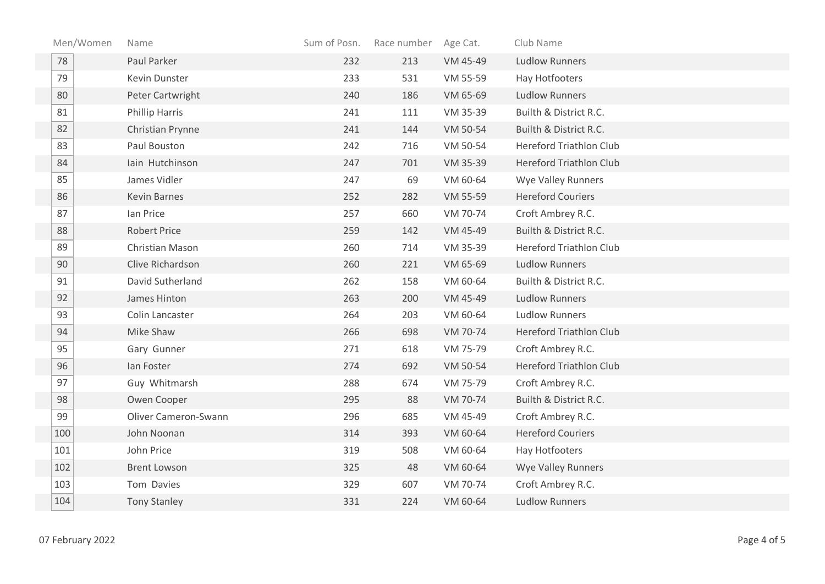| Men/Women | Name                  | Sum of Posn. | Race number | Age Cat. | Club Name                      |
|-----------|-----------------------|--------------|-------------|----------|--------------------------------|
| 78        | Paul Parker           | 232          | 213         | VM 45-49 | <b>Ludlow Runners</b>          |
| 79        | Kevin Dunster         | 233          | 531         | VM 55-59 | Hay Hotfooters                 |
| 80        | Peter Cartwright      | 240          | 186         | VM 65-69 | <b>Ludlow Runners</b>          |
| 81        | <b>Phillip Harris</b> | 241          | 111         | VM 35-39 | Builth & District R.C.         |
| 82        | Christian Prynne      | 241          | 144         | VM 50-54 | Builth & District R.C.         |
| 83        | Paul Bouston          | 242          | 716         | VM 50-54 | <b>Hereford Triathlon Club</b> |
| 84        | Iain Hutchinson       | 247          | 701         | VM 35-39 | <b>Hereford Triathlon Club</b> |
| 85        | James Vidler          | 247          | 69          | VM 60-64 | <b>Wye Valley Runners</b>      |
| 86        | <b>Kevin Barnes</b>   | 252          | 282         | VM 55-59 | <b>Hereford Couriers</b>       |
| 87        | Ian Price             | 257          | 660         | VM 70-74 | Croft Ambrey R.C.              |
| 88        | <b>Robert Price</b>   | 259          | 142         | VM 45-49 | Builth & District R.C.         |
| 89        | Christian Mason       | 260          | 714         | VM 35-39 | <b>Hereford Triathlon Club</b> |
| 90        | Clive Richardson      | 260          | 221         | VM 65-69 | <b>Ludlow Runners</b>          |
| 91        | David Sutherland      | 262          | 158         | VM 60-64 | Builth & District R.C.         |
| 92        | James Hinton          | 263          | 200         | VM 45-49 | <b>Ludlow Runners</b>          |
| 93        | Colin Lancaster       | 264          | 203         | VM 60-64 | <b>Ludlow Runners</b>          |
| 94        | Mike Shaw             | 266          | 698         | VM 70-74 | <b>Hereford Triathlon Club</b> |
| 95        | Gary Gunner           | 271          | 618         | VM 75-79 | Croft Ambrey R.C.              |
| 96        | Ian Foster            | 274          | 692         | VM 50-54 | <b>Hereford Triathlon Club</b> |
| 97        | Guy Whitmarsh         | 288          | 674         | VM 75-79 | Croft Ambrey R.C.              |
| 98        | Owen Cooper           | 295          | 88          | VM 70-74 | Builth & District R.C.         |
| 99        | Oliver Cameron-Swann  | 296          | 685         | VM 45-49 | Croft Ambrey R.C.              |
| 100       | John Noonan           | 314          | 393         | VM 60-64 | <b>Hereford Couriers</b>       |
| 101       | John Price            | 319          | 508         | VM 60-64 | Hay Hotfooters                 |
| 102       | <b>Brent Lowson</b>   | 325          | 48          | VM 60-64 | Wye Valley Runners             |
| 103       | Tom Davies            | 329          | 607         | VM 70-74 | Croft Ambrey R.C.              |
| 104       | <b>Tony Stanley</b>   | 331          | 224         | VM 60-64 | <b>Ludlow Runners</b>          |